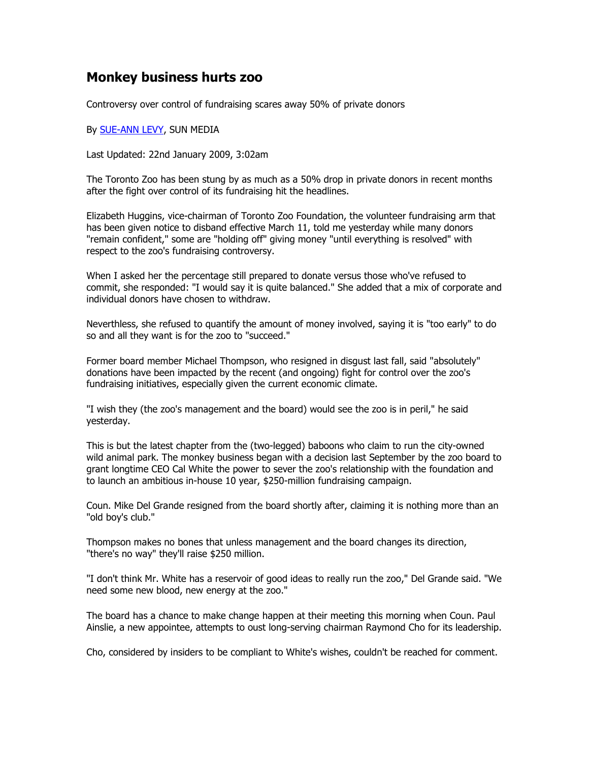## Monkey business hurts zoo

Controversy over control of fundraising scares away 50% of private donors

## By SUE-ANN LEVY, SUN MEDIA

Last Updated: 22nd January 2009, 3:02am

The Toronto Zoo has been stung by as much as a 50% drop in private donors in recent months after the fight over control of its fundraising hit the headlines.

Elizabeth Huggins, vice-chairman of Toronto Zoo Foundation, the volunteer fundraising arm that has been given notice to disband effective March 11, told me yesterday while many donors "remain confident," some are "holding off" giving money "until everything is resolved" with respect to the zoo's fundraising controversy.

When I asked her the percentage still prepared to donate versus those who've refused to commit, she responded: "I would say it is quite balanced." She added that a mix of corporate and individual donors have chosen to withdraw.

Neverthless, she refused to quantify the amount of money involved, saying it is "too early" to do so and all they want is for the zoo to "succeed."

Former board member Michael Thompson, who resigned in disgust last fall, said "absolutely" donations have been impacted by the recent (and ongoing) fight for control over the zoo's fundraising initiatives, especially given the current economic climate.

"I wish they (the zoo's management and the board) would see the zoo is in peril," he said yesterday.

This is but the latest chapter from the (two-legged) baboons who claim to run the city-owned wild animal park. The monkey business began with a decision last September by the zoo board to grant longtime CEO Cal White the power to sever the zoo's relationship with the foundation and to launch an ambitious in-house 10 year, \$250-million fundraising campaign.

Coun. Mike Del Grande resigned from the board shortly after, claiming it is nothing more than an "old boy's club."

Thompson makes no bones that unless management and the board changes its direction, "there's no way" they'll raise \$250 million.

"I don't think Mr. White has a reservoir of good ideas to really run the zoo," Del Grande said. "We need some new blood, new energy at the zoo."

The board has a chance to make change happen at their meeting this morning when Coun. Paul Ainslie, a new appointee, attempts to oust long-serving chairman Raymond Cho for its leadership.

Cho, considered by insiders to be compliant to White's wishes, couldn't be reached for comment.